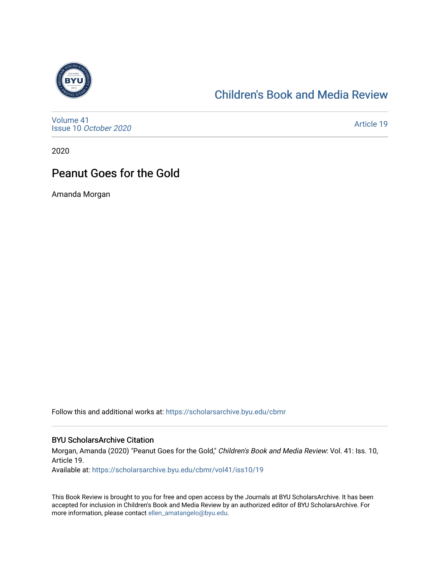

## [Children's Book and Media Review](https://scholarsarchive.byu.edu/cbmr)

[Volume 41](https://scholarsarchive.byu.edu/cbmr/vol41) Issue 10 [October 2020](https://scholarsarchive.byu.edu/cbmr/vol41/iss10)

[Article 19](https://scholarsarchive.byu.edu/cbmr/vol41/iss10/19) 

2020

# Peanut Goes for the Gold

Amanda Morgan

Follow this and additional works at: [https://scholarsarchive.byu.edu/cbmr](https://scholarsarchive.byu.edu/cbmr?utm_source=scholarsarchive.byu.edu%2Fcbmr%2Fvol41%2Fiss10%2F19&utm_medium=PDF&utm_campaign=PDFCoverPages) 

#### BYU ScholarsArchive Citation

Morgan, Amanda (2020) "Peanut Goes for the Gold," Children's Book and Media Review: Vol. 41: Iss. 10, Article 19.

Available at: [https://scholarsarchive.byu.edu/cbmr/vol41/iss10/19](https://scholarsarchive.byu.edu/cbmr/vol41/iss10/19?utm_source=scholarsarchive.byu.edu%2Fcbmr%2Fvol41%2Fiss10%2F19&utm_medium=PDF&utm_campaign=PDFCoverPages) 

This Book Review is brought to you for free and open access by the Journals at BYU ScholarsArchive. It has been accepted for inclusion in Children's Book and Media Review by an authorized editor of BYU ScholarsArchive. For more information, please contact [ellen\\_amatangelo@byu.edu.](mailto:ellen_amatangelo@byu.edu)